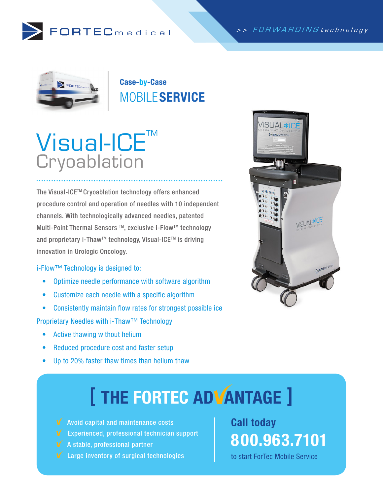



### Case-by-Case MOBILE SERVICE

### Visual-ICE<sup>™</sup> **Cryoablation**

The Visual-ICETM Cryoablation technology offers enhanced procedure control and operation of needles with 10 independent channels. With technologically advanced needles, patented Multi-Point Thermal Sensors ™, exclusive i-Flow™ technology and proprietary i-Thaw™ technology, Visual-ICE™ is driving innovation in Urologic Oncology.

i-Flow™ Technology is designed to:

- Optimize needle performance with software algorithm
- Customize each needle with a specific algorithm
- Consistently maintain flow rates for strongest possible ice

Proprietary Needles with i-Thaw™ Technology

- Active thawing without helium
- Reduced procedure cost and faster setup
- Up to 20% faster thaw times than helium thaw

# [ THE FORTEC ADVANTAGE ]

- $\sqrt{\phantom{a}}$  Avoid capital and maintenance costs
- Experienced, professional technician support
- $\blacklozenge$  A stable, professional partner
- **V** Large inventory of surgical technologies

Call today 800.963.7101

to start ForTec Mobile Service